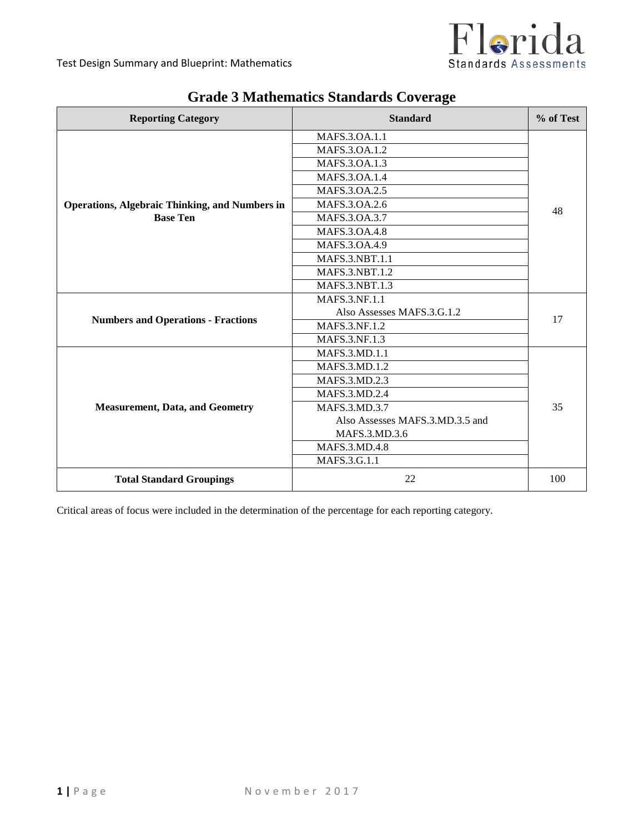

| <b>Reporting Category</b>                             | <b>Standard</b>                 | % of Test |  |
|-------------------------------------------------------|---------------------------------|-----------|--|
|                                                       | MAFS.3.OA.1.1                   |           |  |
|                                                       | MAFS.3.OA.1.2                   |           |  |
|                                                       | MAFS.3.OA.1.3                   |           |  |
|                                                       | MAFS.3.OA.1.4                   |           |  |
|                                                       | MAFS.3.OA.2.5                   |           |  |
| <b>Operations, Algebraic Thinking, and Numbers in</b> | MAFS.3.OA.2.6                   | 48        |  |
| <b>Base Ten</b>                                       | MAFS.3.OA.3.7                   |           |  |
|                                                       | MAFS.3.0A.4.8                   |           |  |
|                                                       | MAFS.3.0A.4.9                   |           |  |
|                                                       | MAFS.3.NBT.1.1                  |           |  |
|                                                       | <b>MAFS.3.NBT.1.2</b>           |           |  |
|                                                       | <b>MAFS.3.NBT.1.3</b>           |           |  |
| <b>Numbers and Operations - Fractions</b>             | MAFS.3.NF.1.1                   | 17        |  |
|                                                       | Also Assesses MAFS.3.G.1.2      |           |  |
|                                                       | <b>MAFS.3.NF.1.2</b>            |           |  |
|                                                       | MAFS.3.NF.1.3                   |           |  |
|                                                       | MAFS.3.MD.1.1                   |           |  |
|                                                       | MAFS.3.MD.1.2                   |           |  |
|                                                       | MAFS.3.MD.2.3                   |           |  |
| <b>Measurement, Data, and Geometry</b>                | <b>MAFS.3.MD.2.4</b>            |           |  |
|                                                       | MAFS.3.MD.3.7                   | 35        |  |
|                                                       | Also Assesses MAFS.3.MD.3.5 and |           |  |
|                                                       | MAFS.3.MD.3.6                   |           |  |
|                                                       | MAFS.3.MD.4.8                   |           |  |
|                                                       | MAFS.3.G.1.1                    |           |  |
| <b>Total Standard Groupings</b>                       | 22                              | 100       |  |

# **Grade 3 Mathematics Standards Coverage**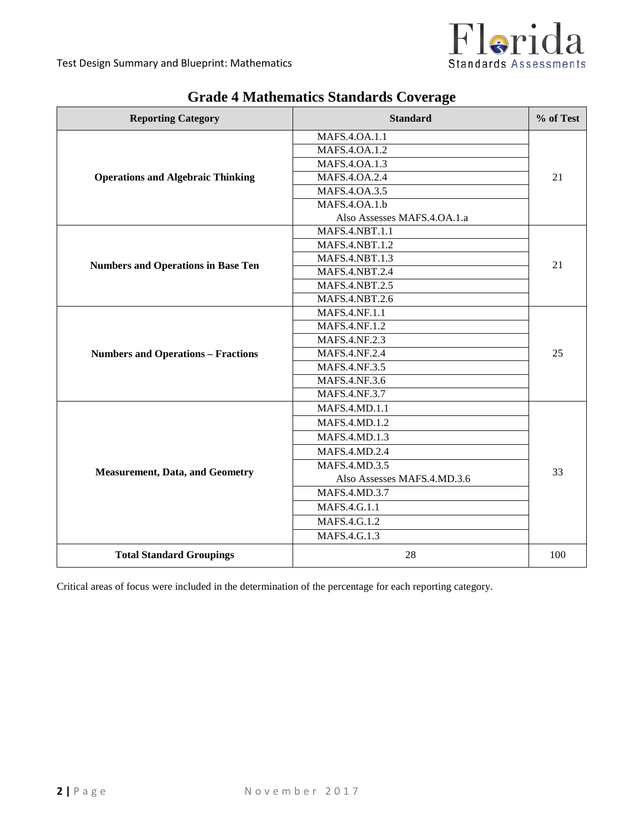

| <b>Reporting Category</b>                 | <b>Standard</b>             | % of Test |  |
|-------------------------------------------|-----------------------------|-----------|--|
|                                           | MAFS.4.0A.1.1               |           |  |
|                                           | MAFS.4.OA.1.2               |           |  |
|                                           | MAFS.4.OA.1.3               |           |  |
| <b>Operations and Algebraic Thinking</b>  | MAFS.4.OA.2.4               | 21        |  |
|                                           | MAFS.4.OA.3.5               |           |  |
|                                           | MAFS.4.0A.1.b               |           |  |
|                                           | Also Assesses MAFS.4.OA.1.a |           |  |
|                                           | <b>MAFS.4.NBT.1.1</b>       |           |  |
|                                           | <b>MAFS.4.NBT.1.2</b>       |           |  |
|                                           | MAFS.4.NBT.1.3              | 21        |  |
| <b>Numbers and Operations in Base Ten</b> | MAFS.4.NBT.2.4              |           |  |
|                                           | <b>MAFS.4.NBT.2.5</b>       |           |  |
|                                           | <b>MAFS.4.NBT.2.6</b>       |           |  |
|                                           | MAFS.4.NF.1.1               | 25        |  |
|                                           | MAFS.4.NF.1.2               |           |  |
|                                           | MAFS.4.NF.2.3               |           |  |
| <b>Numbers and Operations - Fractions</b> | MAFS.4.NF.2.4               |           |  |
|                                           | <b>MAFS.4.NF.3.5</b>        |           |  |
|                                           | MAFS.4.NF.3.6               |           |  |
|                                           | MAFS.4.NF.3.7               |           |  |
|                                           | <b>MAFS.4.MD.1.1</b>        |           |  |
|                                           | MAFS.4.MD.1.2               |           |  |
|                                           | MAFS.4.MD.1.3               |           |  |
|                                           | MAFS.4.MD.2.4               |           |  |
|                                           | MAFS.4.MD.3.5               |           |  |
| <b>Measurement, Data, and Geometry</b>    | Also Assesses MAFS.4.MD.3.6 | 33        |  |
|                                           | MAFS.4.MD.3.7               |           |  |
|                                           | MAFS.4.G.1.1                |           |  |
|                                           | MAFS.4.G.1.2                |           |  |
|                                           | MAFS.4.G.1.3                |           |  |
| <b>Total Standard Groupings</b>           | 28                          | 100       |  |

# **Grade 4 Mathematics Standards Coverage**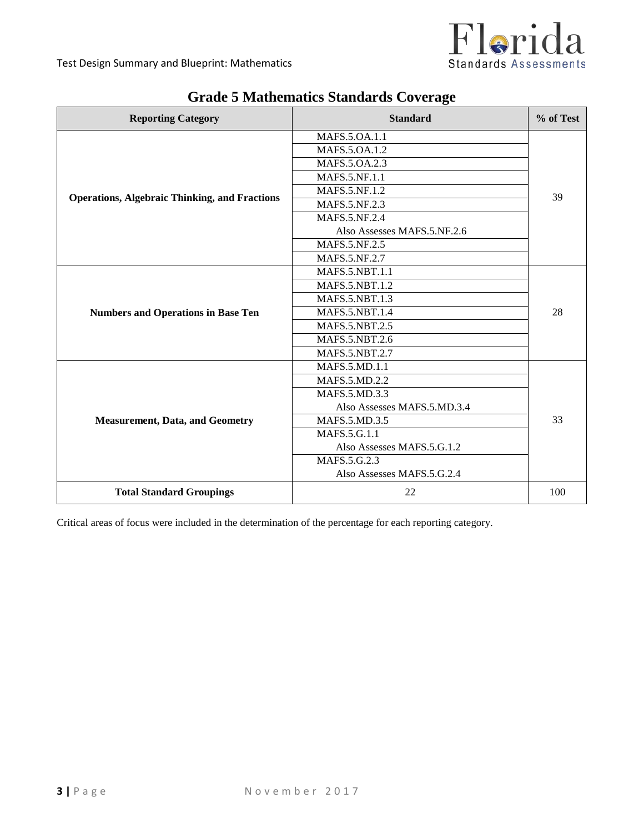

| <b>Reporting Category</b>                            | <b>Standard</b>             | % of Test |
|------------------------------------------------------|-----------------------------|-----------|
|                                                      | MAFS.5.OA.1.1               |           |
|                                                      | MAFS.5.OA.1.2               |           |
|                                                      | MAFS.5.OA.2.3               |           |
|                                                      | MAFS.5.NF.1.1               |           |
| <b>Operations, Algebraic Thinking, and Fractions</b> | <b>MAFS.5.NF.1.2</b>        | 39        |
|                                                      | MAFS.5.NF.2.3               |           |
|                                                      | <b>MAFS.5.NF.2.4</b>        |           |
|                                                      | Also Assesses MAFS.5.NF.2.6 |           |
|                                                      | MAFS.5.NF.2.5               |           |
|                                                      | MAFS.5.NF.2.7               |           |
|                                                      | MAFS.5.NBT.1.1              |           |
|                                                      | <b>MAFS.5.NBT.1.2</b>       |           |
|                                                      | MAFS.5.NBT.1.3              |           |
| <b>Numbers and Operations in Base Ten</b>            | <b>MAFS.5.NBT.1.4</b>       | 28        |
|                                                      | <b>MAFS.5.NBT.2.5</b>       |           |
|                                                      | MAFS.5.NBT.2.6              |           |
|                                                      | <b>MAFS.5.NBT.2.7</b>       |           |
|                                                      | MAFS.5.MD.1.1               |           |
|                                                      | MAFS.5.MD.2.2               |           |
|                                                      | <b>MAFS.5.MD.3.3</b>        |           |
| <b>Measurement, Data, and Geometry</b>               | Also Assesses MAFS.5.MD.3.4 |           |
|                                                      | <b>MAFS.5.MD.3.5</b>        | 33        |
|                                                      | MAFS.5.G.1.1                |           |
|                                                      | Also Assesses MAFS.5.G.1.2  |           |
|                                                      | MAFS.5.G.2.3                |           |
|                                                      | Also Assesses MAFS.5.G.2.4  |           |
| <b>Total Standard Groupings</b>                      | 22                          | 100       |

# **Grade 5 Mathematics Standards Coverage**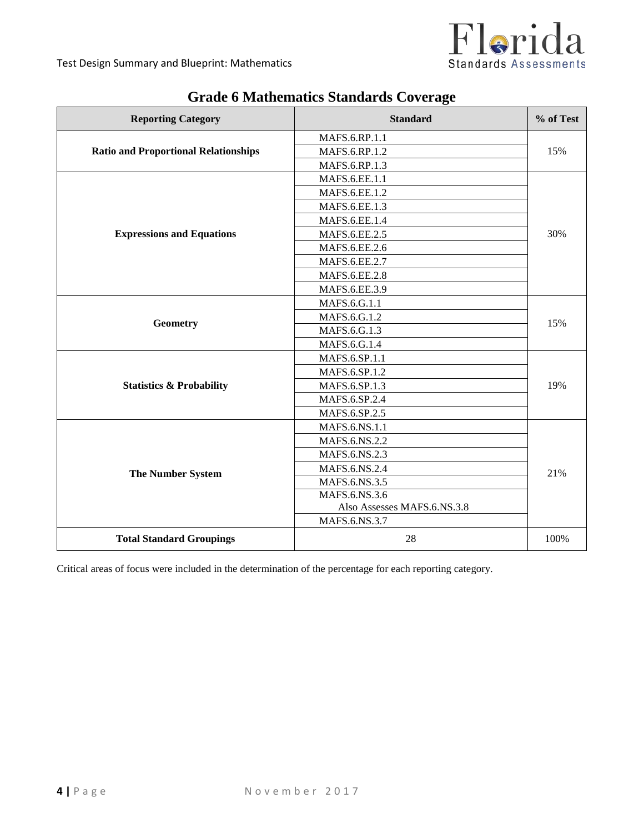

| <b>Reporting Category</b>                   | <b>Standard</b>             | % of Test |
|---------------------------------------------|-----------------------------|-----------|
| <b>Ratio and Proportional Relationships</b> | MAFS.6.RP.1.1               |           |
|                                             | MAFS.6.RP.1.2               | 15%       |
|                                             | MAFS.6.RP.1.3               |           |
|                                             | MAFS.6.EE.1.1               |           |
|                                             | MAFS.6.EE.1.2               |           |
|                                             | MAFS.6.EE.1.3               |           |
|                                             | MAFS.6.EE.1.4               |           |
| <b>Expressions and Equations</b>            | MAFS.6.EE.2.5               | 30%       |
|                                             | MAFS.6.EE.2.6               |           |
|                                             | MAFS.6.EE.2.7               |           |
|                                             | MAFS.6.EE.2.8               |           |
|                                             | MAFS.6.EE.3.9               |           |
|                                             | MAFS.6.G.1.1                | 15%       |
|                                             | MAFS.6.G.1.2                |           |
| Geometry                                    | MAFS.6.G.1.3                |           |
|                                             | MAFS.6.G.1.4                |           |
|                                             | MAFS.6.SP.1.1               |           |
|                                             | MAFS.6.SP.1.2               |           |
| <b>Statistics &amp; Probability</b>         | MAFS.6.SP.1.3               | 19%       |
|                                             | MAFS.6.SP.2.4               |           |
|                                             | MAFS.6.SP.2.5               |           |
|                                             | MAFS.6.NS.1.1               |           |
|                                             | MAFS.6.NS.2.2               |           |
| The Number System                           | MAFS.6.NS.2.3               | 21%       |
|                                             | MAFS.6.NS.2.4               |           |
|                                             | MAFS.6.NS.3.5               |           |
|                                             | MAFS.6.NS.3.6               |           |
|                                             | Also Assesses MAFS.6.NS.3.8 |           |
|                                             | MAFS.6.NS.3.7               |           |
| <b>Total Standard Groupings</b>             | 28                          | 100%      |

# **Grade 6 Mathematics Standards Coverage**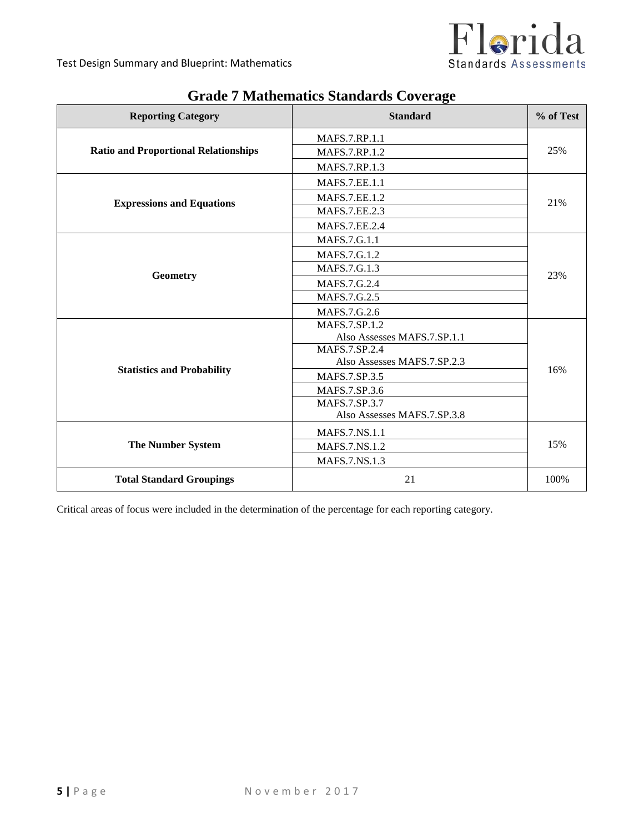

| <b>Reporting Category</b>                   | <b>Standard</b>             | % of Test |
|---------------------------------------------|-----------------------------|-----------|
|                                             | <b>MAFS.7.RP.1.1</b>        |           |
| <b>Ratio and Proportional Relationships</b> | MAFS.7.RP.1.2               | 25%       |
|                                             | <b>MAFS.7.RP.1.3</b>        |           |
|                                             | <b>MAFS.7.EE.1.1</b>        |           |
| <b>Expressions and Equations</b>            | <b>MAFS.7.EE.1.2</b>        | 21%       |
|                                             | MAFS.7.EE.2.3               |           |
|                                             | MAFS.7.EE.2.4               |           |
|                                             | MAFS.7.G.1.1                |           |
|                                             | MAFS.7.G.1.2                |           |
| Geometry                                    | MAFS.7.G.1.3                | 23%       |
|                                             | MAFS.7.G.2.4                |           |
|                                             | MAFS.7.G.2.5                |           |
|                                             | MAFS.7.G.2.6                |           |
|                                             | <b>MAFS.7.SP.1.2</b>        |           |
|                                             | Also Assesses MAFS.7.SP.1.1 |           |
|                                             | MAFS.7.SP.2.4               |           |
| <b>Statistics and Probability</b>           | Also Assesses MAFS.7.SP.2.3 | 16%       |
|                                             | MAFS.7.SP.3.5               |           |
|                                             | MAFS.7.SP.3.6               |           |
|                                             | MAFS.7.SP.3.7               |           |
|                                             | Also Assesses MAFS.7.SP.3.8 |           |
| <b>The Number System</b>                    | MAFS.7.NS.1.1               |           |
|                                             | <b>MAFS.7.NS.1.2</b>        | 15%       |
|                                             | MAFS.7.NS.1.3               |           |
| <b>Total Standard Groupings</b>             | 21                          | 100%      |

# **Grade 7 Mathematics Standards Coverage**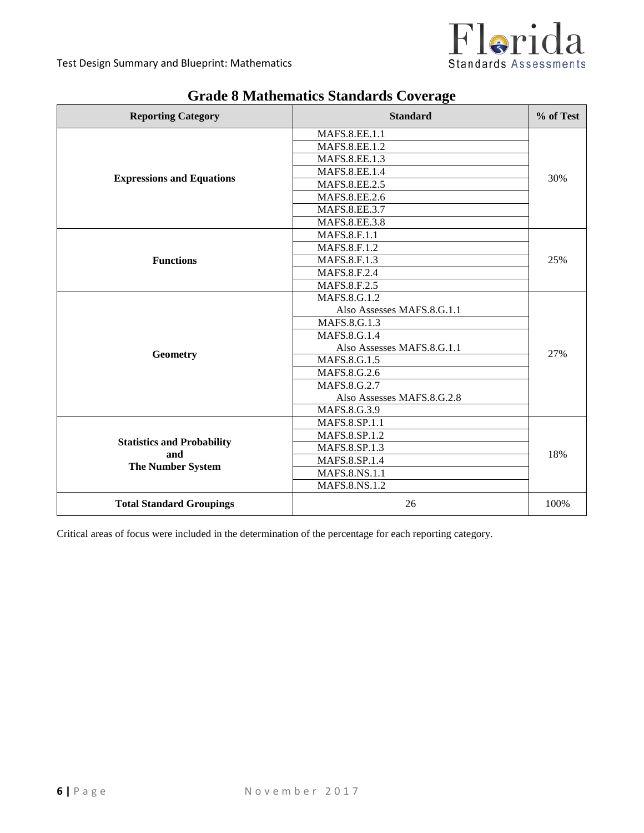

| <b>Reporting Category</b>                                            | <b>Standard</b>            | % of Test |  |
|----------------------------------------------------------------------|----------------------------|-----------|--|
|                                                                      | MAFS.8.EE.1.1              |           |  |
|                                                                      | <b>MAFS.8.EE.1.2</b>       |           |  |
|                                                                      | MAFS.8.EE.1.3              |           |  |
| <b>Expressions and Equations</b>                                     | MAFS.8.EE.1.4              | 30%       |  |
|                                                                      | <b>MAFS.8.EE.2.5</b>       |           |  |
|                                                                      | MAFS.8.EE.2.6              |           |  |
|                                                                      | MAFS.8.EE.3.7              |           |  |
|                                                                      | <b>MAFS.8.EE.3.8</b>       |           |  |
|                                                                      | MAFS.8.F.1.1               |           |  |
|                                                                      | MAFS.8.F.1.2               |           |  |
| <b>Functions</b>                                                     | MAFS.8.F.1.3               | 25%       |  |
|                                                                      | MAFS.8.F.2.4               |           |  |
|                                                                      | MAFS.8.F.2.5               |           |  |
|                                                                      | MAFS.8.G.1.2               | 27%       |  |
|                                                                      | Also Assesses MAFS.8.G.1.1 |           |  |
|                                                                      | MAFS.8.G.1.3               |           |  |
|                                                                      | MAFS.8.G.1.4               |           |  |
|                                                                      | Also Assesses MAFS.8.G.1.1 |           |  |
| Geometry                                                             | MAFS.8.G.1.5               |           |  |
|                                                                      | MAFS.8.G.2.6               |           |  |
|                                                                      | MAFS.8.G.2.7               |           |  |
|                                                                      | Also Assesses MAFS.8.G.2.8 |           |  |
|                                                                      | MAFS.8.G.3.9               |           |  |
|                                                                      | MAFS.8.SP.1.1              |           |  |
|                                                                      | MAFS.8.SP.1.2              |           |  |
| <b>Statistics and Probability</b><br>and<br><b>The Number System</b> | MAFS.8.SP.1.3              | 18%       |  |
|                                                                      | MAFS.8.SP.1.4              |           |  |
|                                                                      | MAFS.8.NS.1.1              |           |  |
|                                                                      | <b>MAFS.8.NS.1.2</b>       |           |  |
| <b>Total Standard Groupings</b>                                      | 26                         | 100%      |  |

## **Grade 8 Mathematics Standards Coverage**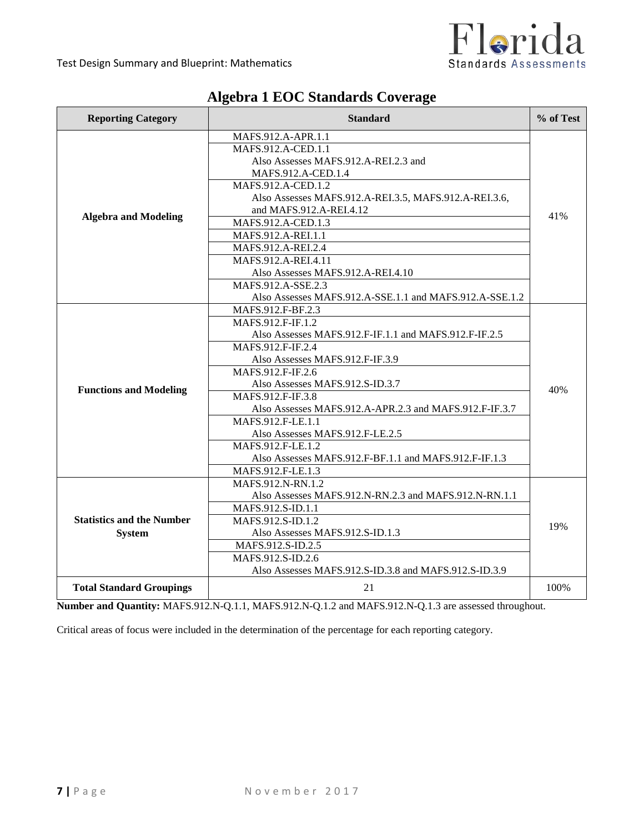

| <b>Reporting Category</b>        | % of Test<br><b>Standard</b>                            |      |
|----------------------------------|---------------------------------------------------------|------|
|                                  | MAFS.912.A-APR.1.1                                      |      |
|                                  | MAFS.912.A-CED.1.1                                      |      |
|                                  | Also Assesses MAFS.912.A-REI.2.3 and                    |      |
|                                  | MAFS.912.A-CED.1.4                                      |      |
|                                  | MAFS.912.A-CED.1.2                                      |      |
|                                  | Also Assesses MAFS.912.A-REI.3.5, MAFS.912.A-REI.3.6,   |      |
|                                  | and MAFS.912.A-REI.4.12                                 | 41%  |
| <b>Algebra and Modeling</b>      | MAFS.912.A-CED.1.3                                      |      |
|                                  | MAFS.912.A-REI.1.1                                      |      |
|                                  | MAFS.912.A-REI.2.4                                      |      |
|                                  | MAFS.912.A-REI.4.11                                     |      |
|                                  | Also Assesses MAFS.912.A-REI.4.10                       |      |
|                                  | MAFS.912.A-SSE.2.3                                      |      |
|                                  | Also Assesses MAFS.912.A-SSE.1.1 and MAFS.912.A-SSE.1.2 |      |
|                                  | MAFS.912.F-BF.2.3                                       |      |
|                                  | MAFS.912.F-IF.1.2                                       |      |
|                                  | Also Assesses MAFS.912.F-IF.1.1 and MAFS.912.F-IF.2.5   |      |
|                                  | MAFS.912.F-IF.2.4                                       |      |
|                                  | Also Assesses MAFS.912.F-IF.3.9                         |      |
|                                  | MAFS.912.F-IF.2.6                                       |      |
|                                  | Also Assesses MAFS.912.S-ID.3.7                         | 40%  |
| <b>Functions and Modeling</b>    | MAFS.912.F-IF.3.8                                       |      |
|                                  | Also Assesses MAFS.912.A-APR.2.3 and MAFS.912.F-IF.3.7  |      |
|                                  | MAFS.912.F-LE.1.1                                       |      |
|                                  | Also Assesses MAFS.912.F-LE.2.5                         |      |
|                                  | MAFS.912.F-LE.1.2                                       |      |
|                                  | Also Assesses MAFS.912.F-BF.1.1 and MAFS.912.F-IF.1.3   |      |
|                                  | MAFS.912.F-LE.1.3                                       |      |
|                                  | MAFS.912.N-RN.1.2                                       |      |
|                                  | Also Assesses MAFS.912.N-RN.2.3 and MAFS.912.N-RN.1.1   |      |
|                                  | MAFS.912.S-ID.1.1                                       |      |
| <b>Statistics and the Number</b> | MAFS.912.S-ID.1.2                                       | 19%  |
| <b>System</b>                    | Also Assesses MAFS.912.S-ID.1.3                         |      |
|                                  | MAFS.912.S-ID.2.5                                       |      |
|                                  | MAFS.912.S-ID.2.6                                       |      |
|                                  | Also Assesses MAFS.912.S-ID.3.8 and MAFS.912.S-ID.3.9   |      |
| <b>Total Standard Groupings</b>  | 21                                                      | 100% |

## **Algebra 1 EOC Standards Coverage**

**Number and Quantity:** MAFS.912.N-Q.1.1, MAFS.912.N-Q.1.2 and MAFS.912.N-Q.1.3 are assessed throughout.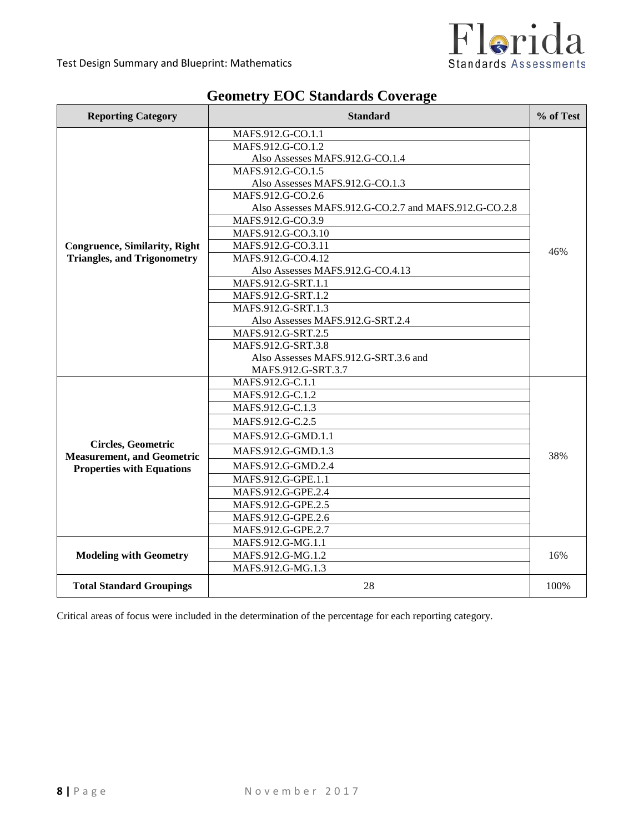

| <b>Reporting Category</b>                               | % of Test<br><b>Standard</b>                          |      |
|---------------------------------------------------------|-------------------------------------------------------|------|
|                                                         | MAFS.912.G-CO.1.1                                     |      |
|                                                         | MAFS.912.G-CO.1.2                                     |      |
|                                                         | Also Assesses MAFS.912.G-CO.1.4                       |      |
|                                                         | MAFS.912.G-CO.1.5                                     |      |
|                                                         | Also Assesses MAFS.912.G-CO.1.3                       |      |
|                                                         | MAFS.912.G-CO.2.6                                     |      |
|                                                         | Also Assesses MAFS.912.G-CO.2.7 and MAFS.912.G-CO.2.8 |      |
|                                                         | MAFS.912.G-CO.3.9                                     |      |
|                                                         | MAFS.912.G-CO.3.10                                    |      |
| <b>Congruence, Similarity, Right</b>                    | MAFS.912.G-CO.3.11                                    | 46%  |
| <b>Triangles, and Trigonometry</b>                      | MAFS.912.G-CO.4.12                                    |      |
|                                                         | Also Assesses MAFS.912.G-CO.4.13                      |      |
|                                                         | MAFS.912.G-SRT.1.1                                    |      |
|                                                         | MAFS.912.G-SRT.1.2                                    |      |
|                                                         | MAFS.912.G-SRT.1.3                                    |      |
|                                                         | Also Assesses MAFS.912.G-SRT.2.4                      |      |
|                                                         | MAFS.912.G-SRT.2.5                                    |      |
|                                                         | MAFS.912.G-SRT.3.8                                    |      |
|                                                         | Also Assesses MAFS.912.G-SRT.3.6 and                  |      |
|                                                         | MAFS.912.G-SRT.3.7                                    |      |
|                                                         | MAFS.912.G-C.1.1                                      |      |
|                                                         | MAFS.912.G-C.1.2                                      |      |
|                                                         | MAFS.912.G-C.1.3                                      |      |
|                                                         | MAFS.912.G-C.2.5                                      |      |
|                                                         | MAFS.912.G-GMD.1.1                                    |      |
| Circles, Geometric<br><b>Measurement, and Geometric</b> | MAFS.912.G-GMD.1.3                                    | 38%  |
| <b>Properties with Equations</b>                        | MAFS.912.G-GMD.2.4                                    |      |
|                                                         | MAFS.912.G-GPE.1.1                                    |      |
|                                                         | MAFS.912.G-GPE.2.4                                    |      |
|                                                         | MAFS.912.G-GPE.2.5                                    |      |
|                                                         | MAFS.912.G-GPE.2.6                                    |      |
|                                                         | MAFS.912.G-GPE.2.7                                    |      |
|                                                         | MAFS.912.G-MG.1.1                                     |      |
| <b>Modeling with Geometry</b>                           | MAFS.912.G-MG.1.2                                     | 16%  |
|                                                         | MAFS.912.G-MG.1.3                                     |      |
| <b>Total Standard Groupings</b>                         | 28                                                    | 100% |

# **Geometry EOC Standards Coverage**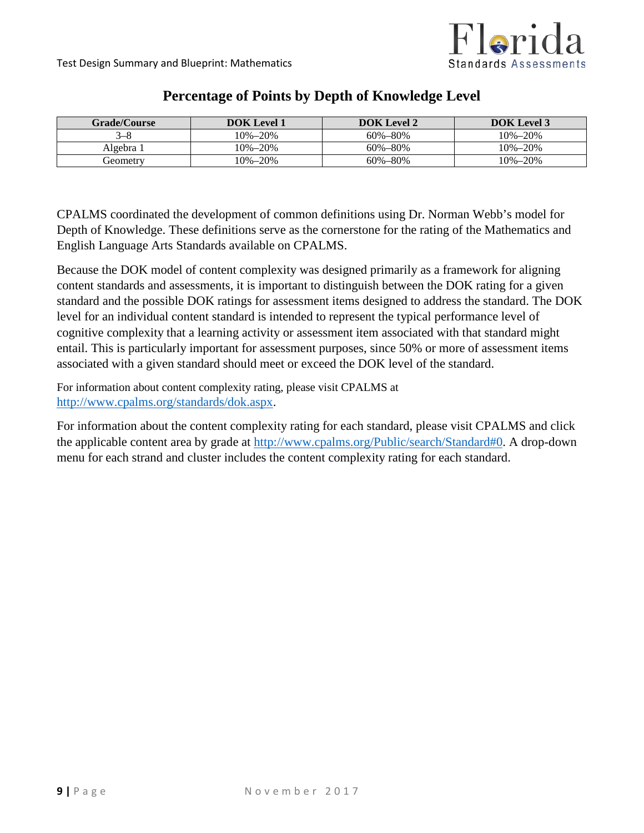

| <b>Grade/Course</b> | <b>DOK</b> Level 1 | <b>DOK</b> Level 2 | <b>DOK</b> Level 3 |
|---------------------|--------------------|--------------------|--------------------|
| $3 - 8$             | 10%–20%            | $60\% - 80\%$      | $10\% - 20\%$      |
| Algebra 1           | $10\% - 20\%$      | $60\% - 80\%$      | $10\% - 20\%$      |
| Geometrv            | 10%–20%            | $60\% - 80\%$      | 10%-20%            |

### **Percentage of Points by Depth of Knowledge Level**

CPALMS coordinated the development of common definitions using Dr. Norman Webb's model for Depth of Knowledge. These definitions serve as the cornerstone for the rating of the Mathematics and English Language Arts Standards available on CPALMS.

Because the DOK model of content complexity was designed primarily as a framework for aligning content standards and assessments, it is important to distinguish between the DOK rating for a given standard and the possible DOK ratings for assessment items designed to address the standard. The DOK level for an individual content standard is intended to represent the typical performance level of cognitive complexity that a learning activity or assessment item associated with that standard might entail. This is particularly important for assessment purposes, since 50% or more of assessment items associated with a given standard should meet or exceed the DOK level of the standard.

For information about content complexity rating, please visit CPALMS at [http://www.cpalms.org/standards/dok.aspx.](http://www.cpalms.org/standards/dok.aspx)

For information about the content complexity rating for each standard, please visit CPALMS and click the applicable content area by grade at [http://www.cpalms.org/Public/search/Standard#0.](http://www.cpalms.org/Public/search/Standard#0) A drop-down menu for each strand and cluster includes the content complexity rating for each standard.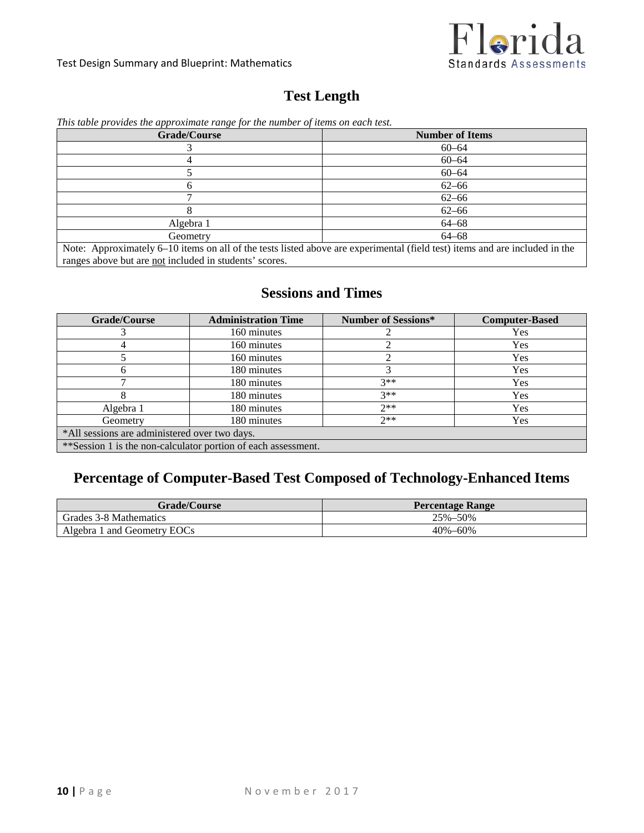

#### Test Design Summary and Blueprint: Mathematics

## **Test Length**

| <b>Grade/Course</b>                                                                                                                                                                   | <b>Number of Items</b> |
|---------------------------------------------------------------------------------------------------------------------------------------------------------------------------------------|------------------------|
|                                                                                                                                                                                       | $60 - 64$              |
|                                                                                                                                                                                       | $60 - 64$              |
|                                                                                                                                                                                       | $60 - 64$              |
| n                                                                                                                                                                                     | $62 - 66$              |
|                                                                                                                                                                                       | $62 - 66$              |
|                                                                                                                                                                                       | $62 - 66$              |
| Algebra 1                                                                                                                                                                             | $64 - 68$              |
| Geometry                                                                                                                                                                              | $64 - 68$              |
| Note: Approximately 6–10 items on all of the tests listed above are experimental (field test) items and are included in the<br>ranges above but are not included in students' scores. |                        |

### *This table provides the approximate range for the number of items on each test.*

## **Sessions and Times**

| <b>Grade/Course</b>                                           | <b>Administration Time</b> | <b>Number of Sessions*</b> | <b>Computer-Based</b> |
|---------------------------------------------------------------|----------------------------|----------------------------|-----------------------|
|                                                               | 160 minutes                |                            | Yes                   |
|                                                               | 160 minutes                |                            | <b>Yes</b>            |
|                                                               | 160 minutes                |                            | Yes                   |
|                                                               | 180 minutes                |                            | <b>Yes</b>            |
|                                                               | 180 minutes                | $3**$                      | Yes                   |
|                                                               | 180 minutes                | $3**$                      | Yes                   |
| Algebra 1                                                     | 180 minutes                | $2**$                      | Yes                   |
| Geometry                                                      | 180 minutes                | $2**$                      | <b>Yes</b>            |
| *All sessions are administered over two days.                 |                            |                            |                       |
| **Session 1 is the non-calculator portion of each assessment. |                            |                            |                       |

# **Percentage of Computer-Based Test Composed of Technology-Enhanced Items**

| <b>Grade/Course</b>         | <b>Percentage Range</b> |
|-----------------------------|-------------------------|
| Grades 3-8 Mathematics      | 25%-50%                 |
| Algebra 1 and Geometry EOCs | $40\% - 60\%$           |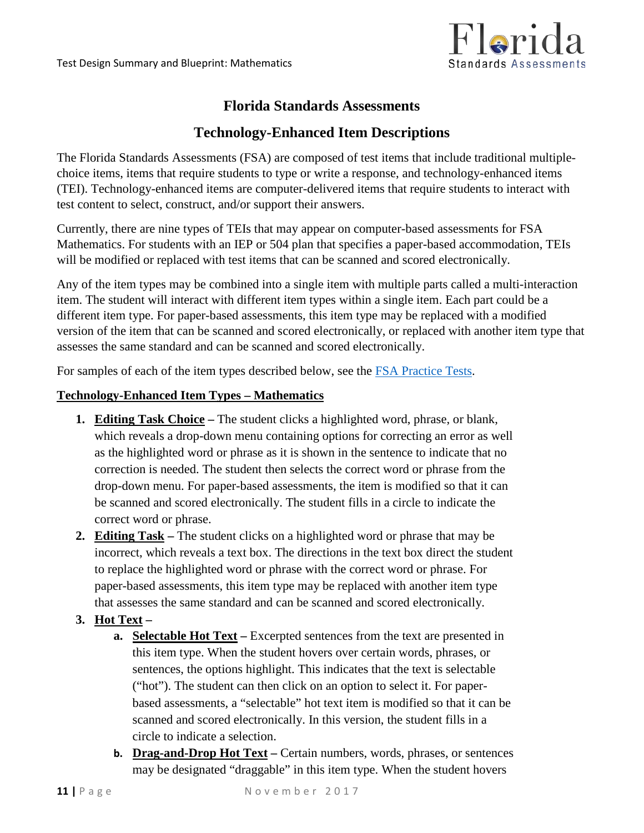

### **Florida Standards Assessments**

### **Technology-Enhanced Item Descriptions**

The Florida Standards Assessments (FSA) are composed of test items that include traditional multiplechoice items, items that require students to type or write a response, and technology-enhanced items (TEI). Technology-enhanced items are computer-delivered items that require students to interact with test content to select, construct, and/or support their answers.

Currently, there are nine types of TEIs that may appear on computer-based assessments for FSA Mathematics. For students with an IEP or 504 plan that specifies a paper-based accommodation, TEIs will be modified or replaced with test items that can be scanned and scored electronically.

Any of the item types may be combined into a single item with multiple parts called a multi-interaction item. The student will interact with different item types within a single item. Each part could be a different item type. For paper-based assessments, this item type may be replaced with a modified version of the item that can be scanned and scored electronically, or replaced with another item type that assesses the same standard and can be scanned and scored electronically.

For samples of each of the item types described below, see the [FSA Practice](http://www.fsassessments.org/training-tests) Tests.

#### **Technology-Enhanced Item Types – Mathematics**

- **1. Editing Task Choice –** The student clicks a highlighted word, phrase, or blank, which reveals a drop-down menu containing options for correcting an error as well as the highlighted word or phrase as it is shown in the sentence to indicate that no correction is needed. The student then selects the correct word or phrase from the drop-down menu. For paper-based assessments, the item is modified so that it can be scanned and scored electronically. The student fills in a circle to indicate the correct word or phrase.
- **2. Editing Task –** The student clicks on a highlighted word or phrase that may be incorrect, which reveals a text box. The directions in the text box direct the student to replace the highlighted word or phrase with the correct word or phrase. For paper-based assessments, this item type may be replaced with another item type that assesses the same standard and can be scanned and scored electronically.

### **3. Hot Text –**

- **a. Selectable Hot Text –** Excerpted sentences from the text are presented in this item type. When the student hovers over certain words, phrases, or sentences, the options highlight. This indicates that the text is selectable ("hot"). The student can then click on an option to select it. For paperbased assessments, a "selectable" hot text item is modified so that it can be scanned and scored electronically. In this version, the student fills in a circle to indicate a selection.
- **b. Drag-and-Drop Hot Text –** Certain numbers, words, phrases, or sentences may be designated "draggable" in this item type. When the student hovers